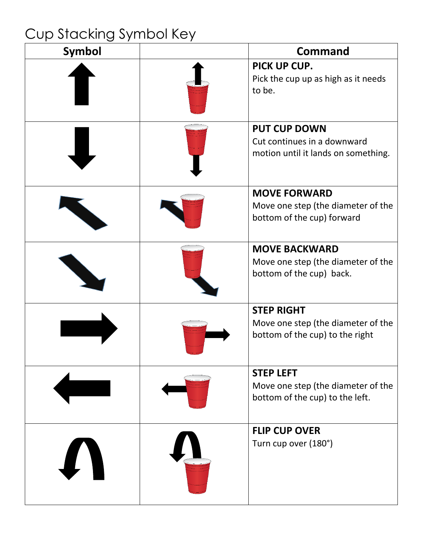## Cup Stacking Symbol Key

| <b>Symbol</b>    | <b>Command</b>                                                                             |
|------------------|--------------------------------------------------------------------------------------------|
|                  | PICK UP CUP.<br>Pick the cup up as high as it needs<br>to be.                              |
|                  | <b>PUT CUP DOWN</b><br>Cut continues in a downward<br>motion until it lands on something.  |
|                  | <b>MOVE FORWARD</b><br>Move one step (the diameter of the<br>bottom of the cup) forward    |
|                  | <b>MOVE BACKWARD</b><br>Move one step (the diameter of the<br>bottom of the cup) back.     |
|                  | <b>STEP RIGHT</b><br>Move one step (the diameter of the<br>bottom of the cup) to the right |
|                  | <b>STEP LEFT</b><br>Move one step (the diameter of the<br>bottom of the cup) to the left.  |
| $\boldsymbol{I}$ | <b>FLIP CUP OVER</b><br>Turn cup over (180°)                                               |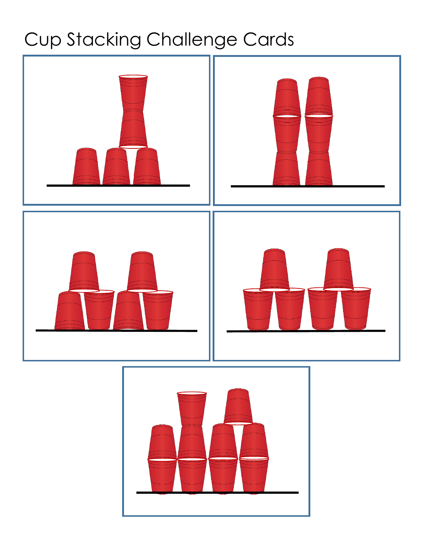# Cup Stacking Challenge Cards